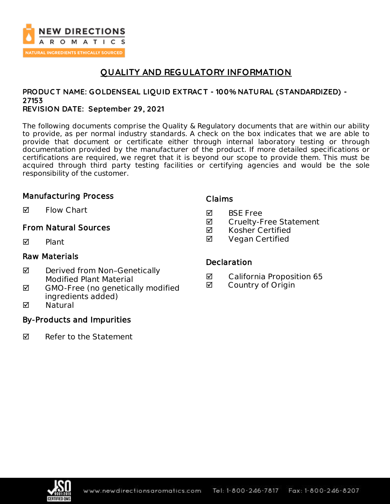

## **QUALITY AND REGULATORY INFORMATION**

# **PRODUC T NAME: GOLDENSEAL LIQUID EXTRAC T - 100% NATURAL (STANDARDIZED) - 27153**

### **REVISION DATE: September 29, 2021**

The following documents comprise the Quality & Regulatory documents that are within our ability to provide, as per normal industry standards. A check on the box indicates that we are able to provide that document or certificate either through internal laboratory testing or through documentation provided by the manufacturer of the product. If more detailed specifications or certifications are required, we regret that it is beyond our scope to provide them. This must be acquired through third party testing facilities or certifying agencies and would be the sole responsibility of the customer.

## Manufacturing Process

**M** Flow Chart

## From Natural Sources

**Ø** Plant

### Raw Materials

- $\boxtimes$  Derived from Non-Genetically Modified Plant Material
- $\blacksquare$  GMO-Free (no genetically modified ingredients added)
- **Ø** Natural

## By-Products and Impurities

 $\nabla$  Refer to the Statement

## Claims

- **Ø** BSE Free
- **Ø** Cruelty-Free Statement
- **Ø** Kosher Certified
- **Ø** Vegan Certified

## **Declaration**

- California Proposition 65
- Country of Origin

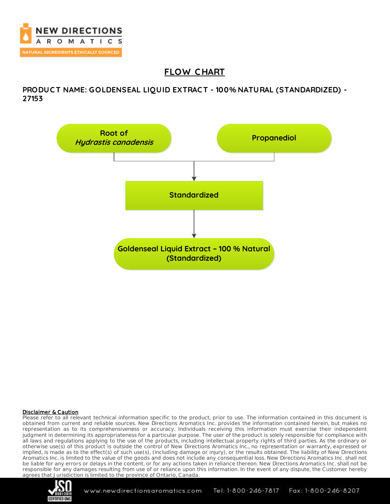

# **FLOW C HART**

**PRODUC T NAME: GOLDENSEAL LIQUID EXTRAC T - 100% NATURAL (STANDARDIZED) - 27153**



#### Disclaimer & Caution

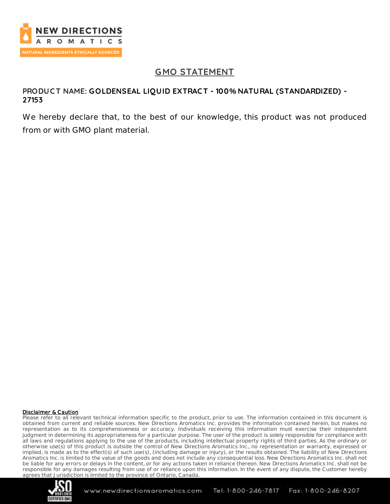

## **GMO STATEMENT**

### **PRODUC T NAME: GOLDENSEAL LIQUID EXTRAC T - 100% NATURAL (STANDARDIZED) - 27153**

We hereby declare that, to the best of our knowledge, this product was not produced from or with GMO plant material.

#### Disclaimer & Caution

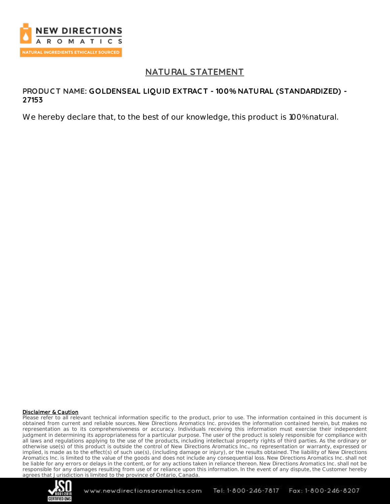

## **NATURAL STATEMENT**

### **PRODUC T NAME: GOLDENSEAL LIQUID EXTRAC T - 100% NATURAL (STANDARDIZED) - 27153**

We hereby declare that, to the best of our knowledge, this product is 100% natural.

#### Disclaimer & Caution

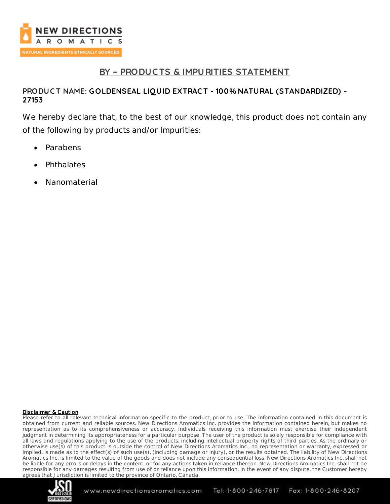

## **BY – PRODUC TS & IMPURITIES STATEMENT**

## **PRODUC T NAME: GOLDENSEAL LIQUID EXTRAC T - 100% NATURAL (STANDARDIZED) - 27153**

We hereby declare that, to the best of our knowledge, this product does not contain any of the following by products and/or Impurities:

- Parabens
- **Phthalates**
- Nanomaterial

#### Disclaimer & Caution

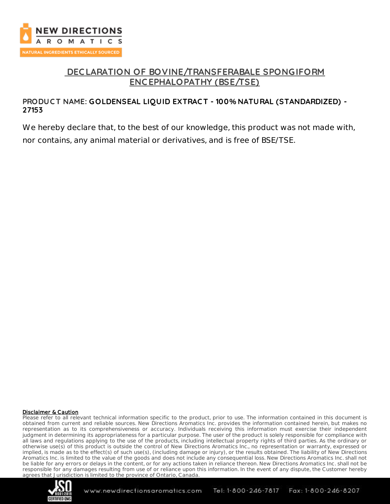

## **DEC LARATION OF BOVINE/TRANSFERABALE SPONGIFORM ENC EPHALOPATHY (BSE/TSE)**

## **PRODUC T NAME: GOLDENSEAL LIQUID EXTRAC T - 100% NATURAL (STANDARDIZED) - 27153**

We hereby declare that, to the best of our knowledge, this product was not made with, nor contains, any animal material or derivatives, and is free of BSE/TSE.

#### Disclaimer & Caution

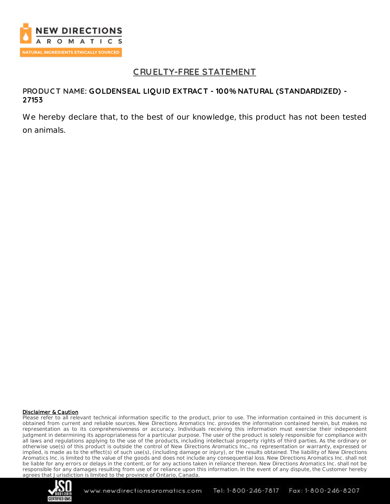

## **C RUELTY-FREE STATEMENT**

### **PRODUC T NAME: GOLDENSEAL LIQUID EXTRAC T - 100% NATURAL (STANDARDIZED) - 27153**

We hereby declare that, to the best of our knowledge, this product has not been tested on animals.

#### Disclaimer & Caution

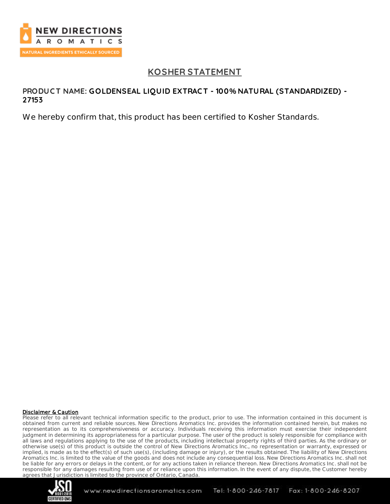

## **KOSHER STATEMENT**

### **PRODUC T NAME: GOLDENSEAL LIQUID EXTRAC T - 100% NATURAL (STANDARDIZED) - 27153**

We hereby confirm that, this product has been certified to Kosher Standards.

#### Disclaimer & Caution

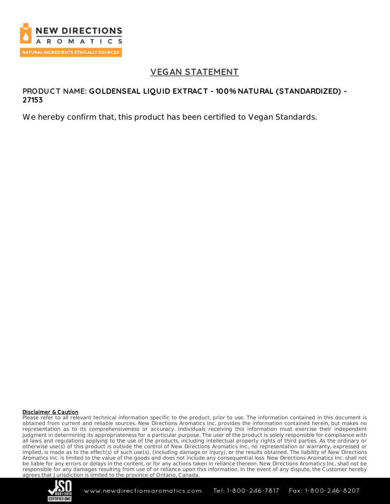

## **VEGAN STATEMENT**

### **PRODUC T NAME: GOLDENSEAL LIQUID EXTRAC T - 100% NATURAL (STANDARDIZED) - 27153**

We hereby confirm that, this product has been certified to Vegan Standards.

#### Disclaimer & Caution

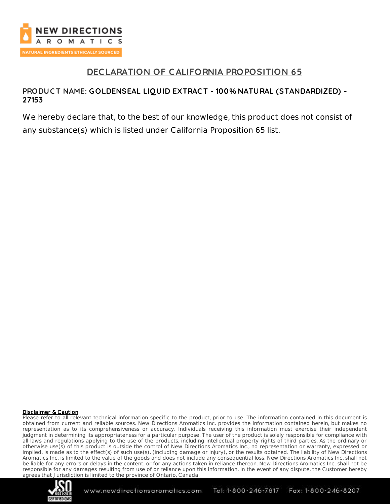

## **DEC LARATION OF CALIFORNIA PROPOSITION 65**

### **PRODUC T NAME: GOLDENSEAL LIQUID EXTRAC T - 100% NATURAL (STANDARDIZED) - 27153**

We hereby declare that, to the best of our knowledge, this product does not consist of any substance(s) which is listed under California Proposition 65 list.

#### Disclaimer & Caution